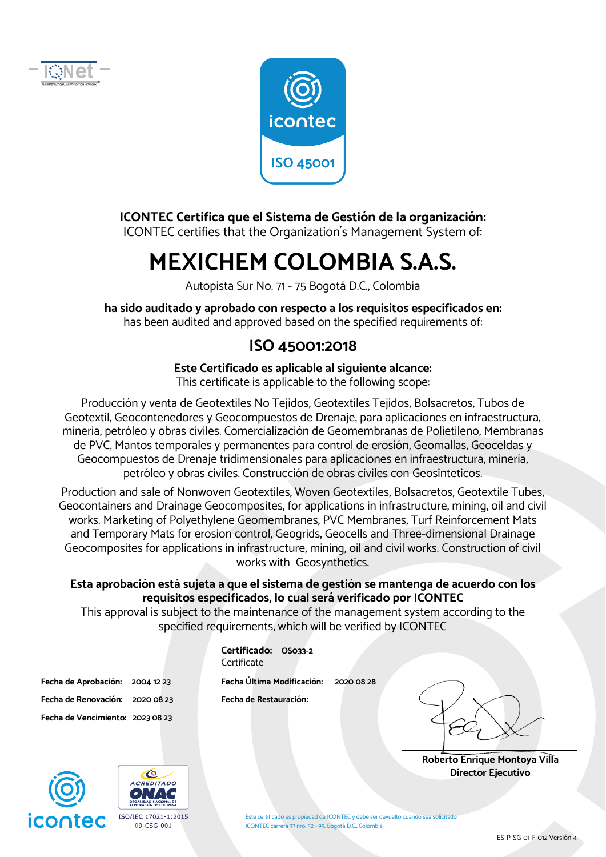



#### **ICONTEC Certifica que el Sistema de Gestión de la organización:**

ICONTEC certifies that the Organization´s Management System of:

## **MEXICHEM COLOMBIA S.A.S.**

Autopista Sur No. 71 - 75 Bogotá D.C., Colombia

**ha sido auditado y aprobado con respecto a los requisitos especificados en:**  has been audited and approved based on the specified requirements of:

#### **ISO 45001:2018**

#### **Este Certificado es aplicable al siguiente alcance:**

This certificate is applicable to the following scope:

Producción y venta de Geotextiles No Tejidos, Geotextiles Tejidos, Bolsacretos, Tubos de Geotextil, Geocontenedores y Geocompuestos de Drenaje, para aplicaciones en infraestructura, minería, petróleo y obras civiles. Comercialización de Geomembranas de Polietileno, Membranas de PVC, Mantos temporales y permanentes para control de erosión, Geomallas, Geoceldas y Geocompuestos de Drenaje tridimensionales para aplicaciones en infraestructura, minería, petróleo y obras civiles. Construcción de obras civiles con Geosinteticos.

Production and sale of Nonwoven Geotextiles, Woven Geotextiles, Bolsacretos, Geotextile Tubes, Geocontainers and Drainage Geocomposites, for applications in infrastructure, mining, oil and civil works. Marketing of Polyethylene Geomembranes, PVC Membranes, Turf Reinforcement Mats and Temporary Mats for erosion control, Geogrids, Geocells and Three-dimensional Drainage Geocomposites for applications in infrastructure, mining, oil and civil works. Construction of civil works with Geosynthetics.

#### **Esta aprobación está sujeta a que el sistema de gestión se mantenga de acuerdo con los requisitos especificados, lo cual será verificado por ICONTEC**

This approval is subject to the maintenance of the management system according to the specified requirements, which will be verified by ICONTEC

| Fecha de Aprobación: 2004 12 23  |  |
|----------------------------------|--|
| Fecha de Renovación: 2020 08 23  |  |
| Fecha de Vencimiento: 2023 08 23 |  |

**Certificado: OS033-2 Certificate** Fecha Última Modificación: 2020 08 28

**Fecha de Restauración:** 

**Roberto Enrique Montoya Villa Director Ejecutivo** 





Este certificado es propiedad de ICONTEC y debe ser devuelto cuando sea solicitado ICONTEC carrera 37 nro. 52 - 95, Bogotá D.C., Colombia